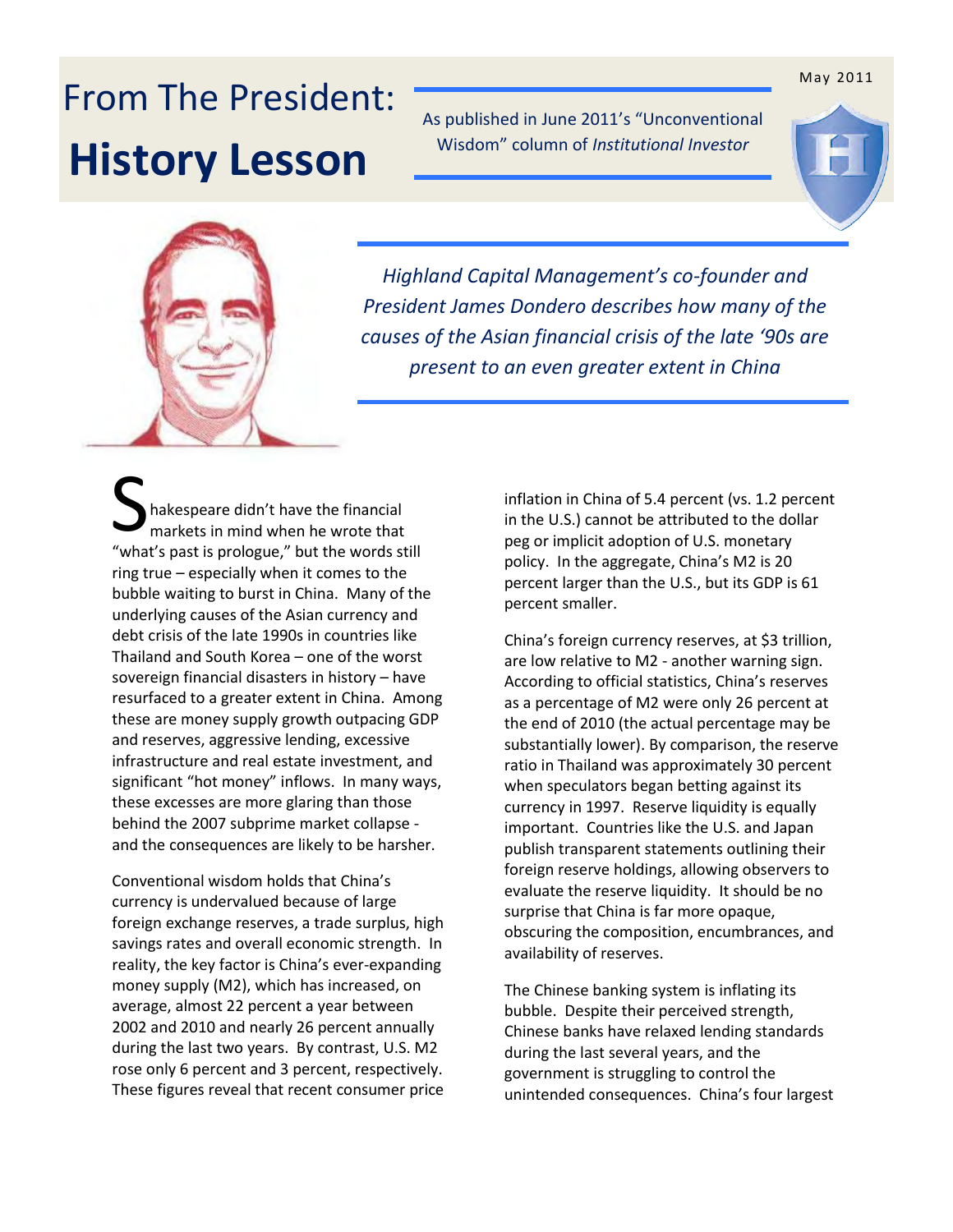## From The President: **History Lesson**

As published in June 2011's "Unconventional Wisdom" column of *Institutional Investor*





*Highland Capital Management's co-founder and President James Dondero describes how many of the causes of the Asian financial crisis of the late '90s are present to an even greater extent in China* 

hakespeare didn't have the financial markets in mind when he wrote that "what's past is prologue," but the words still ring true – especially when it comes to the bubble waiting to burst in China. Many of the underlying causes of the Asian currency and debt crisis of the late 1990s in countries like Thailand and South Korea – one of the worst sovereign financial disasters in history – have resurfaced to a greater extent in China. Among these are money supply growth outpacing GDP and reserves, aggressive lending, excessive infrastructure and real estate investment, and significant "hot money" inflows. In many ways, these excesses are more glaring than those behind the 2007 subprime market collapse and the consequences are likely to be harsher. S<sub>S</sub>

Conventional wisdom holds that China's currency is undervalued because of large foreign exchange reserves, a trade surplus, high savings rates and overall economic strength. In reality, the key factor is China's ever-expanding money supply (M2), which has increased, on average, almost 22 percent a year between 2002 and 2010 and nearly 26 percent annually during the last two years. By contrast, U.S. M2 rose only 6 percent and 3 percent, respectively. These figures reveal that recent consumer price

inflation in China of 5.4 percent (vs. 1.2 percent in the U.S.) cannot be attributed to the dollar peg or implicit adoption of U.S. monetary policy. In the aggregate, China's M2 is 20 percent larger than the U.S., but its GDP is 61 percent smaller.

China's foreign currency reserves, at \$3 trillion, are low relative to M2 - another warning sign. According to official statistics, China's reserves as a percentage of M2 were only 26 percent at the end of 2010 (the actual percentage may be substantially lower). By comparison, the reserve ratio in Thailand was approximately 30 percent when speculators began betting against its currency in 1997. Reserve liquidity is equally important. Countries like the U.S. and Japan publish transparent statements outlining their foreign reserve holdings, allowing observers to evaluate the reserve liquidity. It should be no surprise that China is far more opaque, obscuring the composition, encumbrances, and availability of reserves.

The Chinese banking system is inflating its bubble. Despite their perceived strength, Chinese banks have relaxed lending standards during the last several years, and the government is struggling to control the unintended consequences. China's four largest